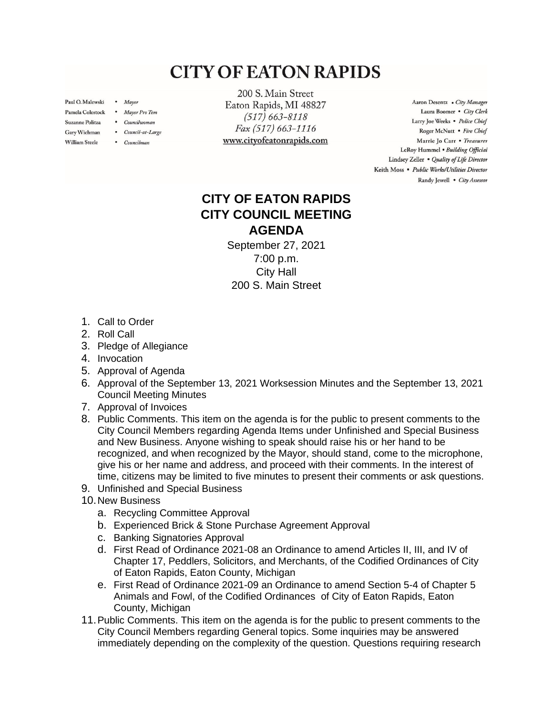## **CITY OF EATON RAPIDS**

Paul O. Malewski . Mayor

Gary Wichman

**William Steele** 

- Pamela Colestock . Mayor Pro Tem
- Suzanne Politza . Councilwoman
	- Council-at-Large
	- Councilman

200 S. Main Street Eaton Rapids, MI 48827  $(517) 663 - 8118$ Fax (517) 663-1116 www.cityofeatonrapids.com

Aaron Desentz . City Manager Laura Boomer . City Clerk Larry Joe Weeks . Police Chief Roger McNutt · Fire Chief Marrie Jo Carr . Treasurer LeRoy Hummel . Building Official Lindsey Zeller . Quality of Life Director Keith Moss · Public Works/Utilities Director Randy Jewell . City Assessor

## **CITY OF EATON RAPIDS CITY COUNCIL MEETING AGENDA**

September 27, 2021 7:00 p.m. City Hall 200 S. Main Street

- 1. Call to Order
- 2. Roll Call
- 3. Pledge of Allegiance
- 4. Invocation
- 5. Approval of Agenda
- 6. Approval of the September 13, 2021 Worksession Minutes and the September 13, 2021 Council Meeting Minutes
- 7. Approval of Invoices
- 8. Public Comments. This item on the agenda is for the public to present comments to the City Council Members regarding Agenda Items under Unfinished and Special Business and New Business. Anyone wishing to speak should raise his or her hand to be recognized, and when recognized by the Mayor, should stand, come to the microphone, give his or her name and address, and proceed with their comments. In the interest of time, citizens may be limited to five minutes to present their comments or ask questions.
- 9. Unfinished and Special Business
- 10.New Business
	- a. Recycling Committee Approval
	- b. Experienced Brick & Stone Purchase Agreement Approval
	- c. Banking Signatories Approval
	- d. First Read of Ordinance 2021-08 an Ordinance to amend Articles II, III, and IV of Chapter 17, Peddlers, Solicitors, and Merchants, of the Codified Ordinances of City of Eaton Rapids, Eaton County, Michigan
	- e. First Read of Ordinance 2021-09 an Ordinance to amend Section 5-4 of Chapter 5 Animals and Fowl, of the Codified Ordinances of City of Eaton Rapids, Eaton County, Michigan
- 11.Public Comments. This item on the agenda is for the public to present comments to the City Council Members regarding General topics. Some inquiries may be answered immediately depending on the complexity of the question. Questions requiring research